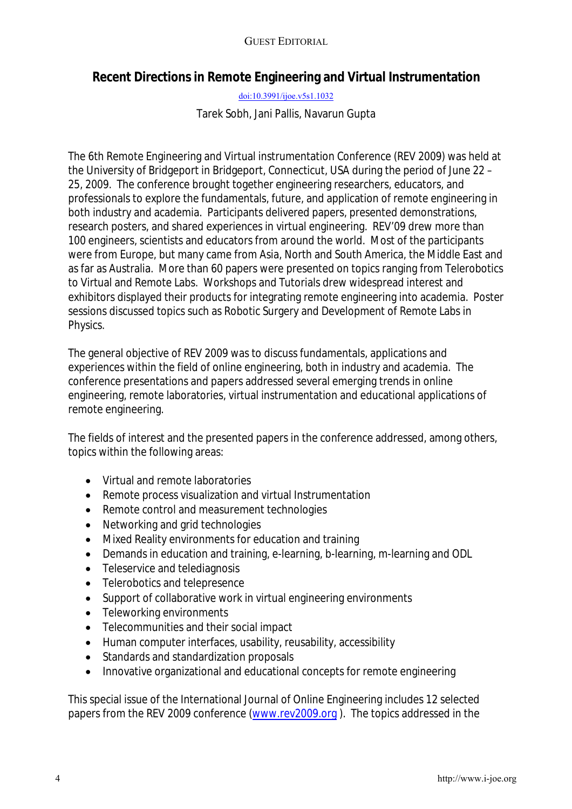## GUEST EDITORIAL

## **Recent Directions in Remote Engineering and Virtual Instrumentation**

[doi:10.3991/ijoe.v5s1.1032](http://dx.doi.org/10.3991/ijoe.v5s1.1032)

Tarek Sobh, Jani Pallis, Navarun Gupta

The 6th Remote Engineering and Virtual instrumentation Conference (REV 2009) was held at the University of Bridgeport in Bridgeport, Connecticut, USA during the period of June 22 – 25, 2009. The conference brought together engineering researchers, educators, and professionals to explore the fundamentals, future, and application of remote engineering in both industry and academia. Participants delivered papers, presented demonstrations, research posters, and shared experiences in virtual engineering. REV'09 drew more than 100 engineers, scientists and educators from around the world. Most of the participants were from Europe, but many came from Asia, North and South America, the Middle East and as far as Australia. More than 60 papers were presented on topics ranging from Telerobotics to Virtual and Remote Labs. Workshops and Tutorials drew widespread interest and exhibitors displayed their products for integrating remote engineering into academia. Poster sessions discussed topics such as Robotic Surgery and Development of Remote Labs in Physics.

The general objective of REV 2009 was to discuss fundamentals, applications and experiences within the field of online engineering, both in industry and academia. The conference presentations and papers addressed several emerging trends in online engineering, remote laboratories, virtual instrumentation and educational applications of remote engineering.

The fields of interest and the presented papers in the conference addressed, among others, topics within the following areas:

- Virtual and remote laboratories
- Remote process visualization and virtual Instrumentation
- Remote control and measurement technologies
- Networking and grid technologies
- Mixed Reality environments for education and training
- Demands in education and training, e-learning, b-learning, m-learning and ODL
- Teleservice and telediagnosis
- Telerobotics and telepresence
- Support of collaborative work in virtual engineering environments
- Teleworking environments
- Telecommunities and their social impact
- Human computer interfaces, usability, reusability, accessibility
- Standards and standardization proposals
- Innovative organizational and educational concepts for remote engineering

This special issue of the International Journal of Online Engineering includes 12 selected papers from the REV 2009 conference [\(www.rev2009.org](http://www.rev2009.org/) ). The topics addressed in the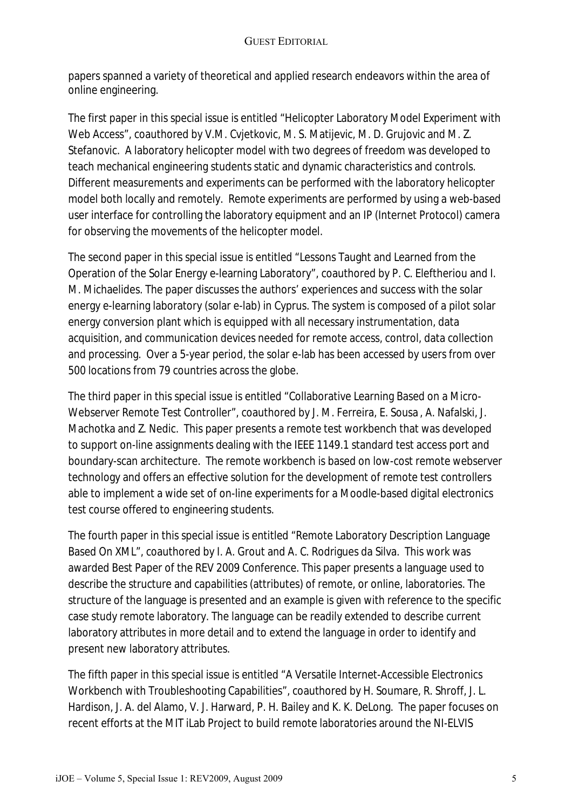papers spanned a variety of theoretical and applied research endeavors within the area of online engineering.

The first paper in this special issue is entitled "Helicopter Laboratory Model Experiment with Web Access", coauthored by V.M. Cvjetkovic, M. S. Matijevic, M. D. Grujovic and M. Z. Stefanovic. A laboratory helicopter model with two degrees of freedom was developed to teach mechanical engineering students static and dynamic characteristics and controls. Different measurements and experiments can be performed with the laboratory helicopter model both locally and remotely. Remote experiments are performed by using a web-based user interface for controlling the laboratory equipment and an IP (Internet Protocol) camera for observing the movements of the helicopter model.

The second paper in this special issue is entitled "Lessons Taught and Learned from the Operation of the Solar Energy e-learning Laboratory", coauthored by P. C. Eleftheriou and I. M. Michaelides. The paper discusses the authors' experiences and success with the solar energy e-learning laboratory (solar e-lab) in Cyprus. The system is composed of a pilot solar energy conversion plant which is equipped with all necessary instrumentation, data acquisition, and communication devices needed for remote access, control, data collection and processing. Over a 5-year period, the solar e-lab has been accessed by users from over 500 locations from 79 countries across the globe.

The third paper in this special issue is entitled "Collaborative Learning Based on a Micro-Webserver Remote Test Controller", coauthored by J. M. Ferreira, E. Sousa , A. Nafalski, J. Machotka and Z. Nedic. This paper presents a remote test workbench that was developed to support on-line assignments dealing with the IEEE 1149.1 standard test access port and boundary-scan architecture. The remote workbench is based on low-cost remote webserver technology and offers an effective solution for the development of remote test controllers able to implement a wide set of on-line experiments for a Moodle-based digital electronics test course offered to engineering students.

The fourth paper in this special issue is entitled "Remote Laboratory Description Language Based On XML", coauthored by I. A. Grout and A. C. Rodrigues da Silva. This work was awarded Best Paper of the REV 2009 Conference. This paper presents a language used to describe the structure and capabilities (attributes) of remote, or online, laboratories. The structure of the language is presented and an example is given with reference to the specific case study remote laboratory. The language can be readily extended to describe current laboratory attributes in more detail and to extend the language in order to identify and present new laboratory attributes.

The fifth paper in this special issue is entitled "A Versatile Internet-Accessible Electronics Workbench with Troubleshooting Capabilities", coauthored by H. Soumare, R. Shroff, J. L. Hardison, J. A. del Alamo, V. J. Harward, P. H. Bailey and K. K. DeLong. The paper focuses on recent efforts at the MIT iLab Project to build remote laboratories around the NI-ELVIS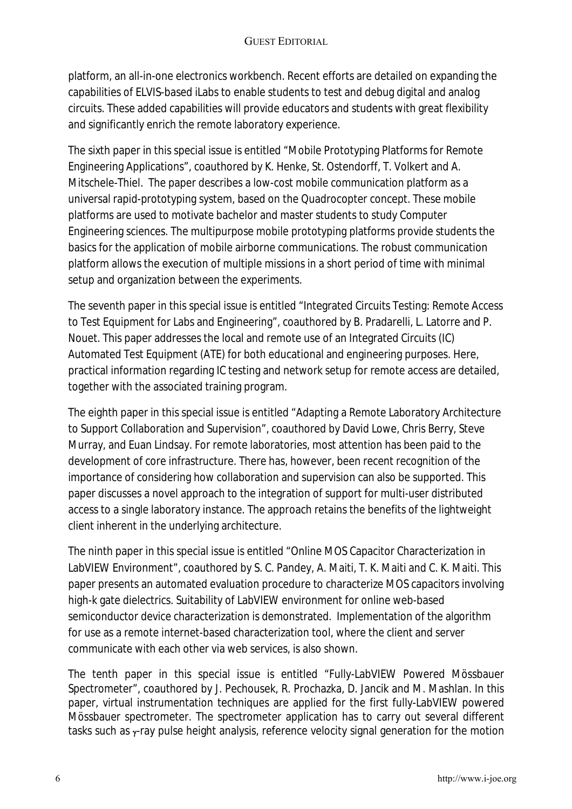platform, an all-in-one electronics workbench. Recent efforts are detailed on expanding the capabilities of ELVIS-based iLabs to enable students to test and debug digital and analog circuits. These added capabilities will provide educators and students with great flexibility and significantly enrich the remote laboratory experience.

The sixth paper in this special issue is entitled "Mobile Prototyping Platforms for Remote Engineering Applications", coauthored by K. Henke, St. Ostendorff, T. Volkert and A. Mitschele-Thiel. The paper describes a low-cost mobile communication platform as a universal rapid-prototyping system, based on the Quadrocopter concept. These mobile platforms are used to motivate bachelor and master students to study Computer Engineering sciences. The multipurpose mobile prototyping platforms provide students the basics for the application of mobile airborne communications. The robust communication platform allows the execution of multiple missions in a short period of time with minimal setup and organization between the experiments.

The seventh paper in this special issue is entitled "Integrated Circuits Testing: Remote Access to Test Equipment for Labs and Engineering", coauthored by B. Pradarelli, L. Latorre and P. Nouet. This paper addresses the local and remote use of an Integrated Circuits (IC) Automated Test Equipment (ATE) for both educational and engineering purposes. Here, practical information regarding IC testing and network setup for remote access are detailed, together with the associated training program.

The eighth paper in this special issue is entitled "Adapting a Remote Laboratory Architecture to Support Collaboration and Supervision", coauthored by David Lowe, Chris Berry, Steve Murray, and Euan Lindsay. For remote laboratories, most attention has been paid to the development of core infrastructure. There has, however, been recent recognition of the importance of considering how collaboration and supervision can also be supported. This paper discusses a novel approach to the integration of support for multi-user distributed access to a single laboratory instance. The approach retains the benefits of the lightweight client inherent in the underlying architecture.

The ninth paper in this special issue is entitled "Online MOS Capacitor Characterization in LabVIEW Environment", coauthored by S. C. Pandey, A. Maiti, T. K. Maiti and C. K. Maiti. This paper presents an automated evaluation procedure to characterize MOS capacitors involving high-k gate dielectrics. Suitability of LabVIEW environment for online web-based semiconductor device characterization is demonstrated. Implementation of the algorithm for use as a remote internet-based characterization tool, where the client and server communicate with each other via web services, is also shown.

The tenth paper in this special issue is entitled "Fully-LabVIEW Powered Mössbauer Spectrometer", coauthored by J. Pechousek, R. Prochazka, D. Jancik and M. Mashlan. In this paper, virtual instrumentation techniques are applied for the first fully-LabVIEW powered Mössbauer spectrometer. The spectrometer application has to carry out several different tasks such as γ-ray pulse height analysis, reference velocity signal generation for the motion